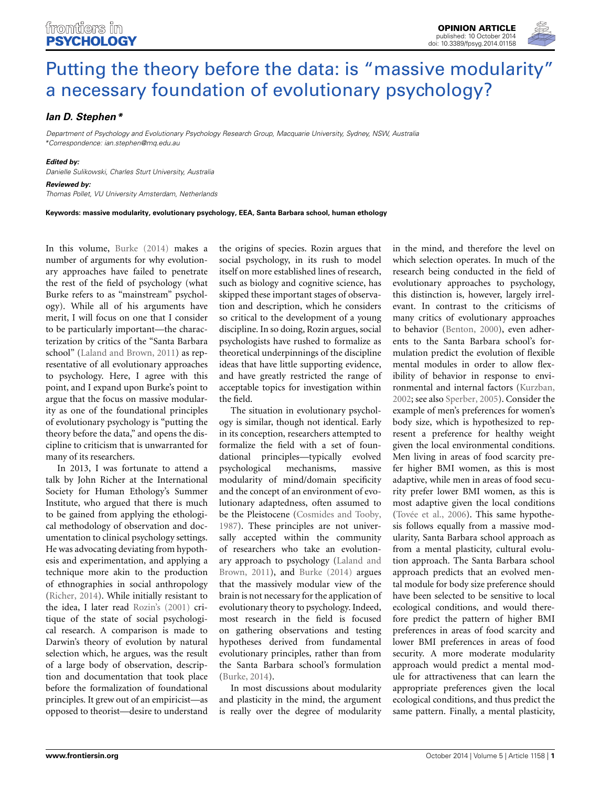# [Putting the theory before the data: is "massive modularity"](http://www.frontiersin.org/journal/10.3389/fpsyg.2014.01158/full) a necessary foundation of evolutionary psychology?

# *[Ian D. Stephen\\*](http://community.frontiersin.org/people/u/180421)*

*Department of Psychology and Evolutionary Psychology Research Group, Macquarie University, Sydney, NSW, Australia \*Correspondence: [ian.stephen@mq.edu.au](mailto:ian.stephen@mq.edu.au)*

## *Edited by:*

*Danielle Sulikowski, Charles Sturt University, Australia*

#### *Reviewed by:*

*Thomas Pollet, VU University Amsterdam, Netherlands*

**Keywords: massive modularity, evolutionary psychology, EEA, Santa Barbara school, human ethology**

In this volume, [Burke](#page-1-0) [\(2014\)](#page-1-0) makes a number of arguments for why evolutionary approaches have failed to penetrate the rest of the field of psychology (what Burke refers to as "mainstream" psychology). While all of his arguments have merit, I will focus on one that I consider to be particularly important—the characterization by critics of the "Santa Barbara school" [\(Laland and Brown, 2011\)](#page-1-1) as representative of all evolutionary approaches to psychology. Here, I agree with this point, and I expand upon Burke's point to argue that the focus on massive modularity as one of the foundational principles of evolutionary psychology is "putting the theory before the data," and opens the discipline to criticism that is unwarranted for many of its researchers.

In 2013, I was fortunate to attend a talk by John Richer at the International Society for Human Ethology's Summer Institute, who argued that there is much to be gained from applying the ethological methodology of observation and documentation to clinical psychology settings. He was advocating deviating from hypothesis and experimentation, and applying a technique more akin to the production of ethnographies in social anthropology [\(Richer, 2014](#page-1-2)). While initially resistant to the idea, I later read [Rozin's](#page-1-3) [\(2001\)](#page-1-3) critique of the state of social psychological research. A comparison is made to Darwin's theory of evolution by natural selection which, he argues, was the result of a large body of observation, description and documentation that took place before the formalization of foundational principles. It grew out of an empiricist—as opposed to theorist—desire to understand

the origins of species. Rozin argues that social psychology, in its rush to model itself on more established lines of research, such as biology and cognitive science, has skipped these important stages of observation and description, which he considers so critical to the development of a young discipline. In so doing, Rozin argues, social psychologists have rushed to formalize as theoretical underpinnings of the discipline ideas that have little supporting evidence, and have greatly restricted the range of acceptable topics for investigation within the field.

The situation in evolutionary psychology is similar, though not identical. Early in its conception, researchers attempted to formalize the field with a set of foundational principles—typically evolved psychological mechanisms, massive modularity of mind/domain specificity and the concept of an environment of evolutionary adaptedness, often assumed to be the Pleistocene [\(Cosmides and Tooby,](#page-1-4) [1987](#page-1-4)). These principles are not universally accepted within the community of researchers who take an evolutionary ap[proach to psychology \(](#page-1-1)Laland and Brown, [2011\)](#page-1-1), and [Burke](#page-1-0) [\(2014](#page-1-0)) argues that the massively modular view of the brain is not necessary for the application of evolutionary theory to psychology. Indeed, most research in the field is focused on gathering observations and testing hypotheses derived from fundamental evolutionary principles, rather than from the Santa Barbara school's formulation [\(Burke](#page-1-0), [2014](#page-1-0)).

In most discussions about modularity and plasticity in the mind, the argument is really over the degree of modularity

in the mind, and therefore the level on which selection operates. In much of the research being conducted in the field of evolutionary approaches to psychology, this distinction is, however, largely irrelevant. In contrast to the criticisms of many critics of evolutionary approaches to behavior [\(Benton](#page-1-5), [2000\)](#page-1-5), even adherents to the Santa Barbara school's formulation predict the evolution of flexible mental modules in order to allow flexibility of behavior in response to environmental and internal factors [\(Kurzban,](#page-1-6) [2002](#page-1-6); see also [Sperber](#page-1-7), [2005\)](#page-1-7). Consider the example of men's preferences for women's body size, which is hypothesized to represent a preference for healthy weight given the local environmental conditions. Men living in areas of food scarcity prefer higher BMI women, as this is most adaptive, while men in areas of food security prefer lower BMI women, as this is most adaptive given the local conditions [\(Tovée et al., 2006\)](#page-1-8). This same hypothesis follows equally from a massive modularity, Santa Barbara school approach as from a mental plasticity, cultural evolution approach. The Santa Barbara school approach predicts that an evolved mental module for body size preference should have been selected to be sensitive to local ecological conditions, and would therefore predict the pattern of higher BMI preferences in areas of food scarcity and lower BMI preferences in areas of food security. A more moderate modularity approach would predict a mental module for attractiveness that can learn the appropriate preferences given the local ecological conditions, and thus predict the same pattern. Finally, a mental plasticity,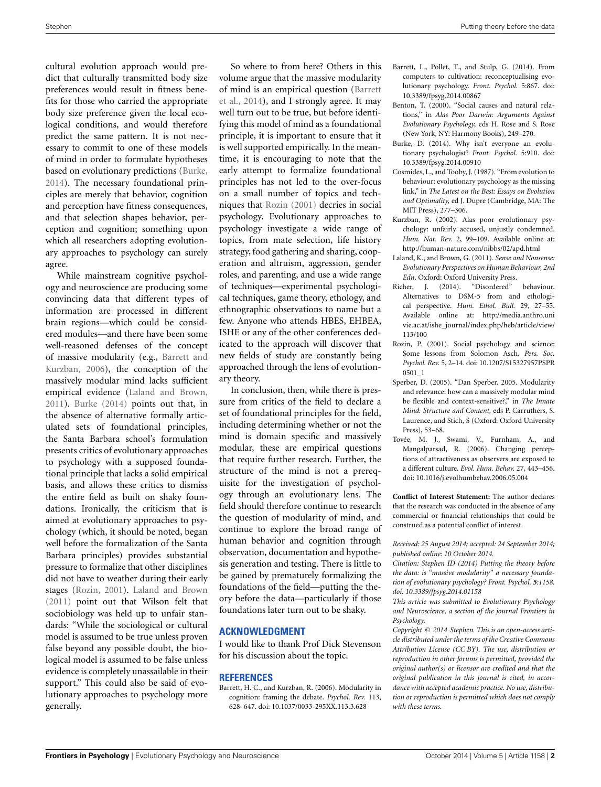cultural evolution approach would predict that culturally transmitted body size preferences would result in fitness benefits for those who carried the appropriate body size preference given the local ecological conditions, and would therefore predict the same pattern. It is not necessary to commit to one of these models of mind in order to formulate hypotheses based on evolutionary predictions [\(Burke,](#page-1-0) [2014](#page-1-0)). The necessary foundational principles are merely that behavior, cognition and perception have fitness consequences, and that selection shapes behavior, perception and cognition; something upon which all researchers adopting evolutionary approaches to psychology can surely agree.

While mainstream cognitive psychology and neuroscience are producing some convincing data that different types of information are processed in different brain regions—which could be considered modules—and there have been some well-reasoned defenses of the concept of mass[ive modularity \(e.g.,](#page-1-9) Barrett and Kurzban, [2006\)](#page-1-9), the conception of the massively modular mind lacks sufficient empirical evidence [\(Laland and Brown,](#page-1-1) [2011](#page-1-1)). [Burke](#page-1-0) [\(2014\)](#page-1-0) points out that, in the absence of alternative formally articulated sets of foundational principles, the Santa Barbara school's formulation presents critics of evolutionary approaches to psychology with a supposed foundational principle that lacks a solid empirical basis, and allows these critics to dismiss the entire field as built on shaky foundations. Ironically, the criticism that is aimed at evolutionary approaches to psychology (which, it should be noted, began well before the formalization of the Santa Barbara principles) provides substantial pressure to formalize that other disciplines did not have to weather during their early stages [\(Rozin](#page-1-3), [2001\)](#page-1-3). [Laland and Brown](#page-1-1) [\(2011\)](#page-1-1) point out that Wilson felt that sociobiology was held up to unfair standards: "While the sociological or cultural model is assumed to be true unless proven false beyond any possible doubt, the biological model is assumed to be false unless evidence is completely unassailable in their support." This could also be said of evolutionary approaches to psychology more generally.

So where to from here? Others in this volume argue that the massive modularity of m[ind is an empirical question \(](#page-1-10)Barrett et al., [2014\)](#page-1-10), and I strongly agree. It may well turn out to be true, but before identifying this model of mind as a foundational principle, it is important to ensure that it is well supported empirically. In the meantime, it is encouraging to note that the early attempt to formalize foundational principles has not led to the over-focus on a small number of topics and techniques that [Rozin](#page-1-3) [\(2001](#page-1-3)) decries in social psychology. Evolutionary approaches to psychology investigate a wide range of topics, from mate selection, life history strategy, food gathering and sharing, cooperation and altruism, aggression, gender roles, and parenting, and use a wide range of techniques—experimental psychological techniques, game theory, ethology, and ethnographic observations to name but a few. Anyone who attends HBES, EHBEA, ISHE or any of the other conferences dedicated to the approach will discover that new fields of study are constantly being approached through the lens of evolutionary theory.

In conclusion, then, while there is pressure from critics of the field to declare a set of foundational principles for the field, including determining whether or not the mind is domain specific and massively modular, these are empirical questions that require further research. Further, the structure of the mind is not a prerequisite for the investigation of psychology through an evolutionary lens. The field should therefore continue to research the question of modularity of mind, and continue to explore the broad range of human behavior and cognition through observation, documentation and hypothesis generation and testing. There is little to be gained by prematurely formalizing the foundations of the field—putting the theory before the data—particularly if those foundations later turn out to be shaky.

# **ACKNOWLEDGMENT**

I would like to thank Prof Dick Stevenson for his discussion about the topic.

## **REFERENCES**

<span id="page-1-9"></span>Barrett, H. C., and Kurzban, R. (2006). Modularity in cognition: framing the debate. *Psychol. Rev.* 113, 628–647. doi: 10.1037/0033-295XX.113.3.628

- <span id="page-1-10"></span>Barrett, L., Pollet, T., and Stulp, G. (2014). From computers to cultivation: reconceptualising evolutionary psychology. *Front. Psychol.* 5:867. doi: 10.3389/fpsyg.2014.00867
- <span id="page-1-5"></span>Benton, T. (2000). "Social causes and natural relations," in *Alas Poor Darwin: Arguments Against Evolutionary Psychology,* eds H. Rose and S. Rose (New York, NY: Harmony Books), 249–270.
- <span id="page-1-0"></span>Burke, D. (2014). Why isn't everyone an evolutionary psychologist? *Front. Psychol.* 5:910. doi: 10.3389/fpsyg.2014.00910
- <span id="page-1-4"></span>Cosmides, L., and Tooby, J. (1987). "From evolution to behaviour: evolutionary psychology as the missing link," in *The Latest on the Best: Essays on Evolution and Optimality,* ed J. Dupre (Cambridge, MA: The MIT Press), 277–306.
- <span id="page-1-6"></span>Kurzban, R. (2002). Alas poor evolutionary psychology: unfairly accused, unjustly condemned. *Hum. Nat. Rev.* 2, 99–109. Available online at: <http://human-nature.com/nibbs/02/apd.html>
- <span id="page-1-1"></span>Laland, K., and Brown, G. (2011). *Sense and Nonsense: Evolutionary Perspectives on Human Behaviour, 2nd Edn*. Oxford: Oxford University Press.
- <span id="page-1-2"></span>Richer, J. (2014). "Disordered" behaviour. Alternatives to DSM-5 from and ethological perspective. *Hum. Ethol. Bull.* 29, 27–55. Available online at: [http://media.anthro.uni](http://media.anthro.univie.ac.at/ishe_journal/index.php/heb/article/view/113/100) [vie.ac.at/ishe\\_journal/index.php/heb/article/view/](http://media.anthro.univie.ac.at/ishe_journal/index.php/heb/article/view/113/100) [113/100](http://media.anthro.univie.ac.at/ishe_journal/index.php/heb/article/view/113/100)
- <span id="page-1-3"></span>Rozin, P. (2001). Social psychology and science: Some lessons from Solomon Asch. *Pers. Soc. Psychol. Rev.* 5, 2–14. doi: 10.1207/S15327957PSPR 0501\_1
- <span id="page-1-7"></span>Sperber, D. (2005). "Dan Sperber. 2005. Modularity and relevance: how can a massively modular mind be flexible and context-sensitive?," in *The Innate Mind: Structure and Content,* eds P. Carruthers, S. Laurence, and Stich, S (Oxford: Oxford University Press), 53–68.
- <span id="page-1-8"></span>Tovée, M. J., Swami, V., Furnham, A., and Mangalparsad, R. (2006). Changing perceptions of attractiveness as observers are exposed to a different culture. *Evol. Hum. Behav.* 27, 443–456. doi: 10.1016/j.evolhumbehav.2006.05.004

**Conflict of Interest Statement:** The author declares that the research was conducted in the absence of any commercial or financial relationships that could be construed as a potential conflict of interest.

*Received: 25 August 2014; accepted: 24 September 2014; published online: 10 October 2014.*

*Citation: Stephen ID (2014) Putting the theory before the data: is "massive modularity" a necessary foundation of evolutionary psychology? Front. Psychol. 5:1158. doi: [10.3389/fpsyg.2014.01158](http://dx.doi.org/10.3389/fpsyg.2014.01158)*

*This article was submitted to Evolutionary Psychology and Neuroscience, a section of the journal Frontiers in Psychology.*

*Copyright © 2014 Stephen. This is an open-access article distributed under the terms of the [Creative Commons](http://creativecommons.org/licenses/by/4.0/) [Attribution License \(CC BY\).](http://creativecommons.org/licenses/by/4.0/) The use, distribution or reproduction in other forums is permitted, provided the original author(s) or licensor are credited and that the original publication in this journal is cited, in accordance with accepted academic practice. No use, distribution or reproduction is permitted which does not comply with these terms.*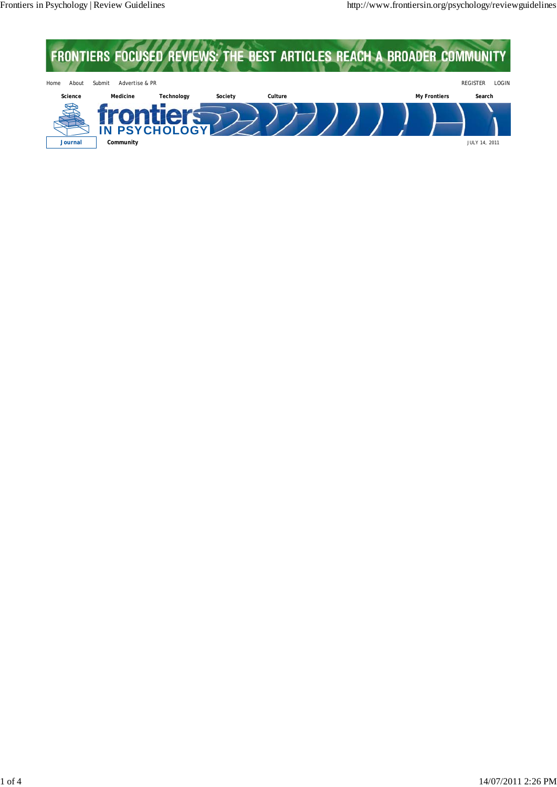**Journal**

**SER** ÷

S.

**Trontiers**<br>IN PSYCHOLOGY

ц

**Or** 



**Community** JULY 14, 2011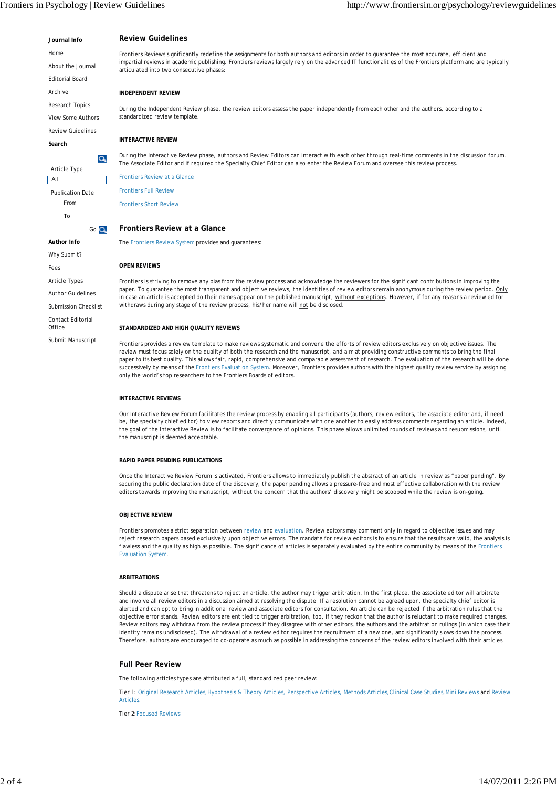Home

About the Journal Editorial Board

Archive

Research Topics

View Some Authors

Review Guidelines

**Search**

Article Type

 $\overline{A}$ 

Publication Date

From To

Go Q

 $\overline{\mathbf{a}}$ 

**Author Info**

Why Submit?

Fees

Article Types

Author Guidelines

Submission Checklist Contact Editorial

**Office** 

Submit Manuscript

**Journal Info Review Guidelines**

Frontiers Reviews significantly redefine the assignments for both authors and editors in order to guarantee the most accurate, efficient and impartial reviews in academic publishing. Frontiers reviews largely rely on the advanced IT functionalities of the Frontiers platform and are typically articulated into two consecutive phases:

**INDEPENDENT REVIEW**

During the Independent Review phase, the review editors assess the paper independently from each other and the authors, according to a standardized review template.

## **INTERACTIVE REVIEW**

During the Interactive Review phase, authors and Review Editors can interact with each other through real-time comments in the discussion forum. The Associate Editor and if required the Specialty Chief Editor can also enter the Review Forum and oversee this review process.

Frontiers Review at a Glance

Frontiers Full Review Frontiers Short Review

## **Frontiers Review at a Glance**

The Frontiers Review System provides and guarantees:

### **OPEN REVIEWS**

Frontiers is striving to remove any bias from the review process and acknowledge the reviewers for the significant contributions in improving the paper. To quarantee the most transparent and objective reviews, the identities of review editors remain anonymous during the review period. Only in case an article is accepted do their names appear on the published manuscript, without exceptions. However, if for any reasons a review editor withdraws during any stage of the review process, his/her name will not be disclosed.

### **STANDARDIZED AND HIGH QUALITY REVIEWS**

Frontiers provides a review template to make reviews systematic and convene the efforts of review editors exclusively on objective issues. The review must focus solely on the quality of both the research and the manuscript, and aim at providing constructive comments to bring the final paper to its best quality. This allows fair, rapid, comprehensive and comparable assessment of research. The evaluation of the research will be done successively by means of the Frontiers Evaluation System. Moreover, Frontiers provides authors with the highest quality review service by assigning only the world's top researchers to the Frontiers Boards of editors.

#### **INTERACTIVE REVIEWS**

Our Interactive Review Forum facilitates the review process by enabling all participants (authors, review editors, the associate editor and, if need be, the specialty chief editor) to view reports and directly communicate with one another to easily address comments regarding an article. Indeed, the goal of the Interactive Review is to facilitate convergence of opinions. This phase allows unlimited rounds of reviews and resubmissions, until the manuscript is deemed acceptable.

#### **RAPID PAPER PENDING PUBLICATIONS**

Once the Interactive Review Forum is activated, Frontiers allows to immediately publish the abstract of an article in review as "paper pending". By securing the public declaration date of the discovery, the paper pending allows a pressure-free and most effective collaboration with the review editors towards improving the manuscript, without the concern that the authors' discovery might be scooped while the review is on-going.

## **OBJECTIVE REVIEW**

Frontiers promotes a strict separation between review and evaluation. Review editors may comment only in regard to objective issues and may reject research papers based exclusively upon objective errors. The mandate for review editors is to ensure that the results are valid, the analysis is flawless and the quality as high as possible. The significance of articles is separately evaluated by the entire community by means of the Frontiers Evaluation System.

#### **ARBITRATIONS**

Should a dispute arise that threatens to reject an article, the author may trigger arbitration. In the first place, the associate editor will arbitrate and involve all review editors in a discussion aimed at resolving the dispute. If a resolution cannot be agreed upon, the specialty chief editor is alerted and can opt to bring in additional review and associate editors for consultation. An article can be rejected if the arbitration rules that the objective error stands. Review editors are entitled to trigger arbitration, too, if they reckon that the author is reluctant to make required changes. Review editors may withdraw from the review process if they disagree with other editors, the authors and the arbitration rulings (in which case their identity remains undisclosed). The withdrawal of a review editor requires the recruitment of a new one, and significantly slows down the process. Therefore, authors are encouraged to co-operate as much as possible in addressing the concerns of the review editors involved with their articles.

## **Full Peer Review**

The following articles types are attributed a full, standardized peer review:

Tier 1: Original Research Articles, Hypothesis & Theory Articles, Perspective Articles, Methods Articles, Clinical Case Studies, Mini Reviews and Review **Articles** 

Tier 2:Focused Reviews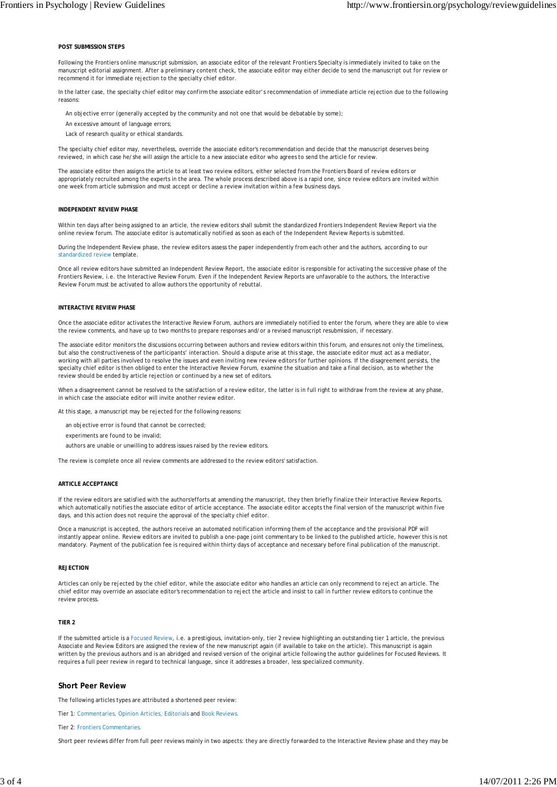#### **POST SUBMISSION STEPS**

Following the Frontiers online manuscript submission, an associate editor of the relevant Frontiers Specialty is immediately invited to take on the manuscript editorial assignment. After a preliminary content check, the associate editor may either decide to send the manuscript out for review or recommend it for immediate rejection to the specialty chief editor.

In the latter case, the specialty chief editor may confirm the associate editor's recommendation of immediate article rejection due to the following reasons:

An objective error (generally accepted by the community and not one that would be debatable by some);

An excessive amount of language errors;

Lack of research quality or ethical standards.

The specialty chief editor may, nevertheless, override the associate editor's recommendation and decide that the manuscript deserves being reviewed, in which case he/she will assign the article to a new associate editor who agrees to send the article for review.

The associate editor then assigns the article to at least two review editors, either selected from the Frontiers Board of review editors or appropriately recruited among the experts in the area. The whole process described above is a rapid one, since review editors are invited within one week from article submission and must accept or decline a review invitation within a few business days.

#### **INDEPENDENT REVIEW PHASE**

Within ten days after being assigned to an article, the review editors shall submit the standardized Frontiers Independent Review Report via the online review forum. The associate editor is automatically notified as soon as each of the Independent Review Reports is submitted.

During the Independent Review phase, the review editors assess the paper independently from each other and the authors, according to our standardized review template.

Once all review editors have submitted an Independent Review Report, the associate editor is responsible for activating the successive phase of the Frontiers Review, i.e. the Interactive Review Forum. Even if the Independent Review Reports are unfavorable to the authors, the Interactive Review Forum must be activated to allow authors the opportunity of rebuttal.

#### **INTERACTIVE REVIEW PHASE**

Once the associate editor activates the Interactive Review Forum, authors are immediately notified to enter the forum, where they are able to view the review comments, and have up to two months to prepare responses and/or a revised manuscript resubmission, if necessary.

The associate editor monitors the discussions occurring between authors and review editors within this forum, and ensures not only the timeliness, but also the constructiveness of the participants' interaction. Should a dispute arise at this stage, the associate editor must act as a mediator, working with all parties involved to resolve the issues and even inviting new review editors for further opinions. If the disagreement persists, the specialty chief editor is then obliged to enter the Interactive Review Forum, examine the situation and take a final decision, as to whether the review should be ended by article rejection or continued by a new set of editors.

When a disagreement cannot be resolved to the satisfaction of a review editor, the latter is in full right to withdraw from the review at any phase. in which case the associate editor will invite another review editor.

At this stage, a manuscript may be rejected for the following reasons:

an objective error is found that cannot be corrected;

experiments are found to be invalid;

authors are unable or unwilling to address issues raised by the review editors.

The review is complete once all review comments are addressed to the review editors' satisfaction.

#### **ARTICLE ACCEPTANCE**

If the review editors are satisfied with the authors'efforts at amending the manuscript, they then briefly finalize their Interactive Review Reports, which automatically notifies the associate editor of article acceptance. The associate editor accepts the final version of the manuscript within five days, and this action does not require the approval of the specialty chief editor.

Once a manuscript is accepted, the authors receive an automated notification informing them of the acceptance and the provisional PDF will instantly appear online. Review editors are invited to publish a one-page joint commentary to be linked to the published article, however this is not mandatory. Payment of the publication fee is required within thirty days of acceptance and necessary before final publication of the manuscript.

#### **REJECTION**

Articles can only be rejected by the chief editor, while the associate editor who handles an article can only recommend to reject an article. The chief editor may override an associate editor's recommendation to reject the article and insist to call in further review editors to continue the review process.

## **TIER 2**

If the submitted article is a Focused Review, i.e. a prestigious, invitation-only, tier 2 review highlighting an outstanding tier 1 article, the previous Associate and Review Editors are assigned the review of the new manuscript again (if available to take on the article). This manuscript is again written by the previous authors and is an abridged and revised version of the original article following the author guidelines for Focused Reviews. It requires a full peer review in regard to technical language, since it addresses a broader, less specialized community.

#### **Short Peer Review**

The following articles types are attributed a shortened peer review:

Tier 1: Commentaries, Opinion Articles, Editorials and Book Reviews.

Tier 2: Frontiers Commentaries.

Short peer reviews differ from full peer reviews mainly in two aspects: they are directly forwarded to the Interactive Review phase and they may be